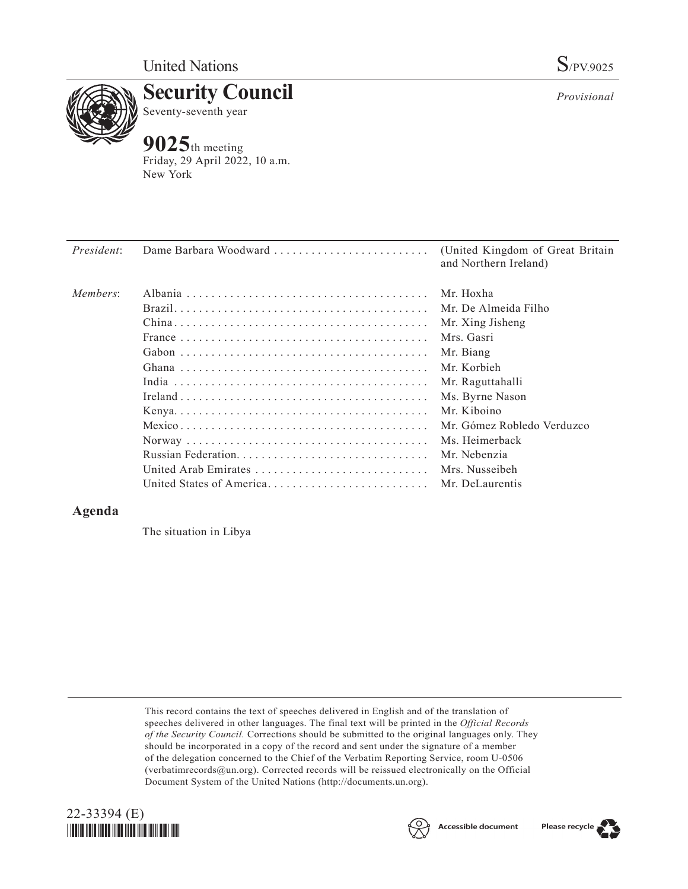

**Security Council** Seventy-seventh year

## **9025**th meeting

Friday, 29 April 2022, 10 a.m. New York

| President:<br>Dame Barbara Woodward | (United Kingdom of Great Britain<br>and Northern Ireland) |
|-------------------------------------|-----------------------------------------------------------|
| Members:                            | Mr. Hoxha                                                 |
|                                     | Mr. De Almeida Filho                                      |
|                                     | Mr. Xing Jisheng                                          |
|                                     | Mrs. Gasri                                                |
|                                     | Mr. Biang                                                 |
|                                     | Mr. Korbieh                                               |
|                                     | Mr. Raguttahalli                                          |
|                                     | Ms. Byrne Nason                                           |
|                                     | Mr. Kiboino                                               |
|                                     | Mr. Gómez Robledo Verduzco                                |
|                                     | Ms. Heimerback                                            |
|                                     | Mr. Nebenzia                                              |
| United Arab Emirates                | Mrs. Nusseibeh                                            |
| United States of America            | Mr. DeLaurentis                                           |

## **Agenda**

The situation in Libya

This record contains the text of speeches delivered in English and of the translation of speeches delivered in other languages. The final text will be printed in the *Official Records of the Security Council.* Corrections should be submitted to the original languages only. They should be incorporated in a copy of the record and sent under the signature of a member of the delegation concerned to the Chief of the Verbatim Reporting Service, room U-0506 (verbatimrecords@un.org). Corrected records will be reissued electronically on the Official Document System of the United Nations (http://documents.un.org).







*Provisional*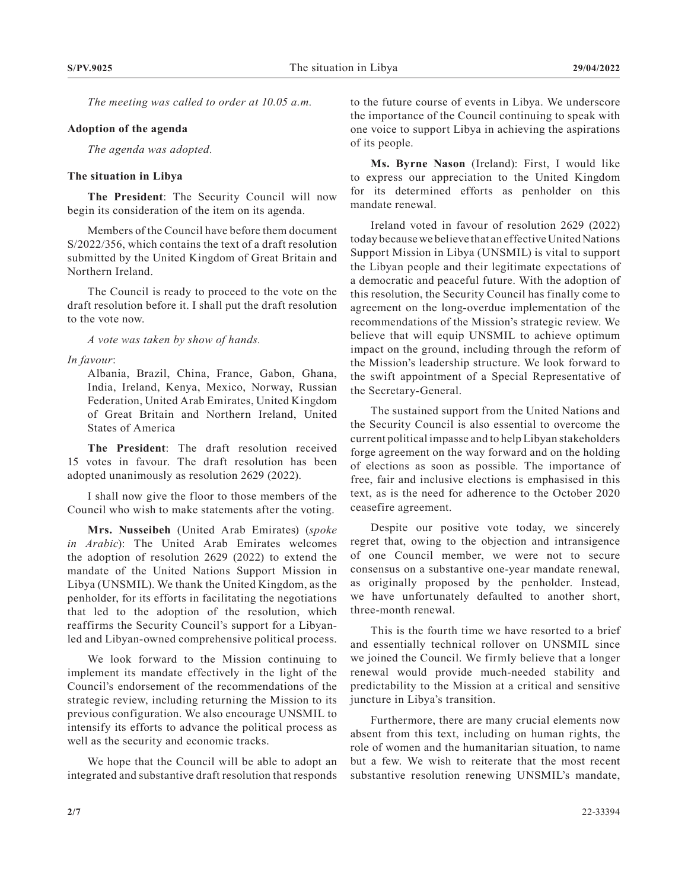*The meeting was called to order at 10.05 a.m.*

## **Adoption of the agenda**

*The agenda was adopted.*

## **The situation in Libya**

**The President**: The Security Council will now begin its consideration of the item on its agenda.

Members of the Council have before them document S/2022/356, which contains the text of a draft resolution submitted by the United Kingdom of Great Britain and Northern Ireland.

The Council is ready to proceed to the vote on the draft resolution before it. I shall put the draft resolution to the vote now.

*A vote was taken by show of hands.*

*In favour*:

Albania, Brazil, China, France, Gabon, Ghana, India, Ireland, Kenya, Mexico, Norway, Russian Federation, United Arab Emirates, United Kingdom of Great Britain and Northern Ireland, United States of America

**The President**: The draft resolution received 15 votes in favour. The draft resolution has been adopted unanimously as resolution 2629 (2022).

I shall now give the floor to those members of the Council who wish to make statements after the voting.

**Mrs. Nusseibeh** (United Arab Emirates) (*spoke in Arabic*): The United Arab Emirates welcomes the adoption of resolution 2629 (2022) to extend the mandate of the United Nations Support Mission in Libya (UNSMIL). We thank the United Kingdom, as the penholder, for its efforts in facilitating the negotiations that led to the adoption of the resolution, which reaffirms the Security Council's support for a Libyanled and Libyan-owned comprehensive political process.

We look forward to the Mission continuing to implement its mandate effectively in the light of the Council's endorsement of the recommendations of the strategic review, including returning the Mission to its previous configuration. We also encourage UNSMIL to intensify its efforts to advance the political process as well as the security and economic tracks.

We hope that the Council will be able to adopt an integrated and substantive draft resolution that responds to the future course of events in Libya. We underscore the importance of the Council continuing to speak with one voice to support Libya in achieving the aspirations of its people.

**Ms. Byrne Nason** (Ireland): First, I would like to express our appreciation to the United Kingdom for its determined efforts as penholder on this mandate renewal.

Ireland voted in favour of resolution 2629 (2022) today because we believe that an effective United Nations Support Mission in Libya (UNSMIL) is vital to support the Libyan people and their legitimate expectations of a democratic and peaceful future. With the adoption of this resolution, the Security Council has finally come to agreement on the long-overdue implementation of the recommendations of the Mission's strategic review. We believe that will equip UNSMIL to achieve optimum impact on the ground, including through the reform of the Mission's leadership structure. We look forward to the swift appointment of a Special Representative of the Secretary-General.

The sustained support from the United Nations and the Security Council is also essential to overcome the current political impasse and to help Libyan stakeholders forge agreement on the way forward and on the holding of elections as soon as possible. The importance of free, fair and inclusive elections is emphasised in this text, as is the need for adherence to the October 2020 ceasefire agreement.

Despite our positive vote today, we sincerely regret that, owing to the objection and intransigence of one Council member, we were not to secure consensus on a substantive one-year mandate renewal, as originally proposed by the penholder. Instead, we have unfortunately defaulted to another short, three-month renewal.

This is the fourth time we have resorted to a brief and essentially technical rollover on UNSMIL since we joined the Council. We firmly believe that a longer renewal would provide much-needed stability and predictability to the Mission at a critical and sensitive juncture in Libya's transition.

Furthermore, there are many crucial elements now absent from this text, including on human rights, the role of women and the humanitarian situation, to name but a few. We wish to reiterate that the most recent substantive resolution renewing UNSMIL's mandate,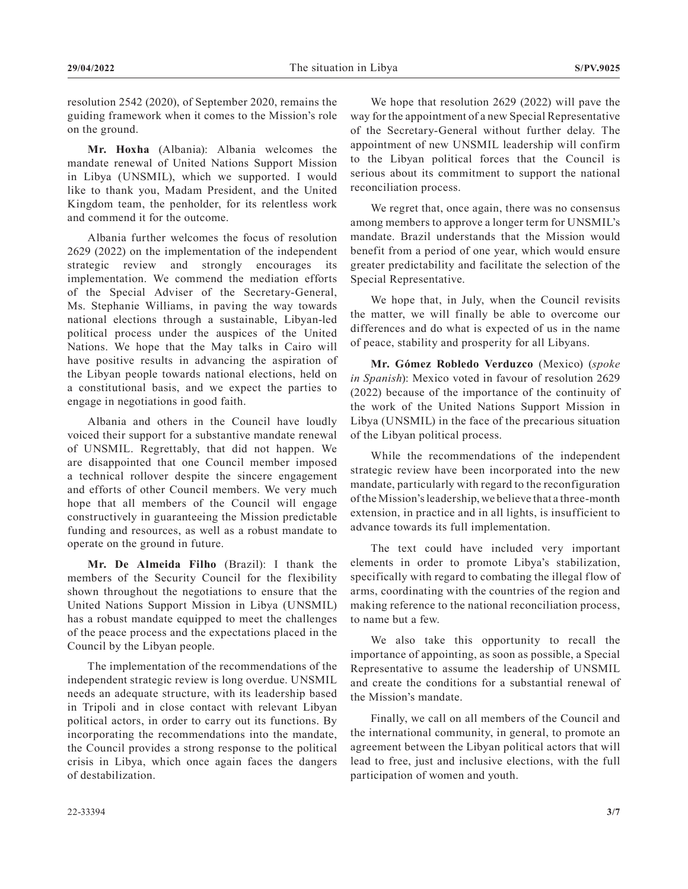resolution 2542 (2020), of September 2020, remains the guiding framework when it comes to the Mission's role on the ground.

**Mr. Hoxha** (Albania): Albania welcomes the mandate renewal of United Nations Support Mission in Libya (UNSMIL), which we supported. I would like to thank you, Madam President, and the United Kingdom team, the penholder, for its relentless work and commend it for the outcome.

Albania further welcomes the focus of resolution 2629 (2022) on the implementation of the independent strategic review and strongly encourages its implementation. We commend the mediation efforts of the Special Adviser of the Secretary-General, Ms. Stephanie Williams, in paving the way towards national elections through a sustainable, Libyan-led political process under the auspices of the United Nations. We hope that the May talks in Cairo will have positive results in advancing the aspiration of the Libyan people towards national elections, held on a constitutional basis, and we expect the parties to engage in negotiations in good faith.

Albania and others in the Council have loudly voiced their support for a substantive mandate renewal of UNSMIL. Regrettably, that did not happen. We are disappointed that one Council member imposed a technical rollover despite the sincere engagement and efforts of other Council members. We very much hope that all members of the Council will engage constructively in guaranteeing the Mission predictable funding and resources, as well as a robust mandate to operate on the ground in future.

**Mr. De Almeida Filho** (Brazil): I thank the members of the Security Council for the flexibility shown throughout the negotiations to ensure that the United Nations Support Mission in Libya (UNSMIL) has a robust mandate equipped to meet the challenges of the peace process and the expectations placed in the Council by the Libyan people.

The implementation of the recommendations of the independent strategic review is long overdue. UNSMIL needs an adequate structure, with its leadership based in Tripoli and in close contact with relevant Libyan political actors, in order to carry out its functions. By incorporating the recommendations into the mandate, the Council provides a strong response to the political crisis in Libya, which once again faces the dangers of destabilization.

We hope that resolution 2629 (2022) will pave the way for the appointment of a new Special Representative of the Secretary-General without further delay. The appointment of new UNSMIL leadership will confirm to the Libyan political forces that the Council is serious about its commitment to support the national reconciliation process.

We regret that, once again, there was no consensus among members to approve a longer term for UNSMIL's mandate. Brazil understands that the Mission would benefit from a period of one year, which would ensure greater predictability and facilitate the selection of the Special Representative.

We hope that, in July, when the Council revisits the matter, we will finally be able to overcome our differences and do what is expected of us in the name of peace, stability and prosperity for all Libyans.

**Mr. Gómez Robledo Verduzco** (Mexico) (*spoke in Spanish*): Mexico voted in favour of resolution 2629 (2022) because of the importance of the continuity of the work of the United Nations Support Mission in Libya (UNSMIL) in the face of the precarious situation of the Libyan political process.

While the recommendations of the independent strategic review have been incorporated into the new mandate, particularly with regard to the reconfiguration of the Mission's leadership, we believe that a three-month extension, in practice and in all lights, is insufficient to advance towards its full implementation.

The text could have included very important elements in order to promote Libya's stabilization, specifically with regard to combating the illegal flow of arms, coordinating with the countries of the region and making reference to the national reconciliation process, to name but a few.

We also take this opportunity to recall the importance of appointing, as soon as possible, a Special Representative to assume the leadership of UNSMIL and create the conditions for a substantial renewal of the Mission's mandate.

Finally, we call on all members of the Council and the international community, in general, to promote an agreement between the Libyan political actors that will lead to free, just and inclusive elections, with the full participation of women and youth.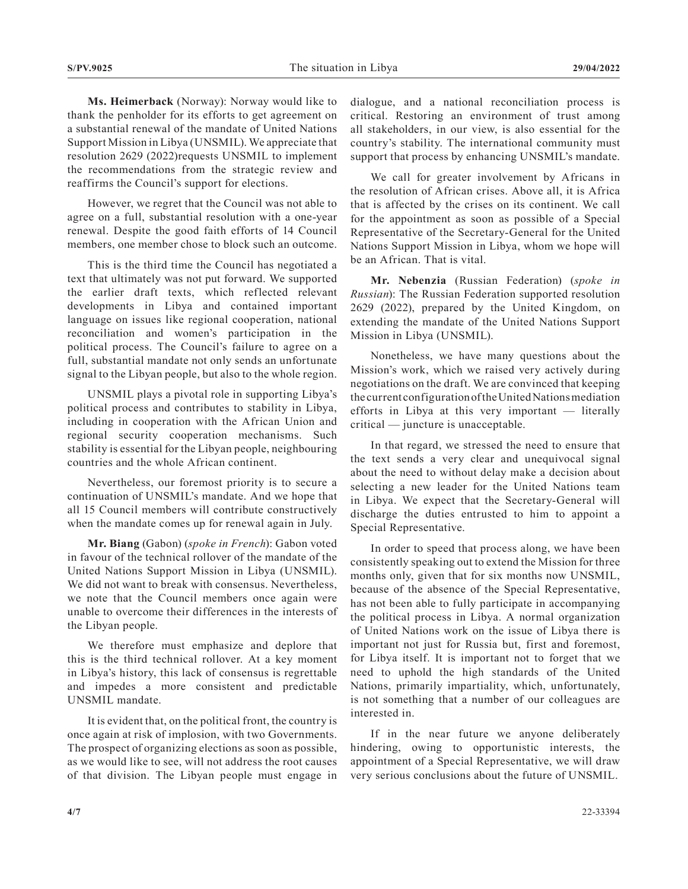**Ms. Heimerback** (Norway): Norway would like to thank the penholder for its efforts to get agreement on a substantial renewal of the mandate of United Nations Support Mission in Libya (UNSMIL). We appreciate that resolution 2629 (2022)requests UNSMIL to implement the recommendations from the strategic review and reaffirms the Council's support for elections.

However, we regret that the Council was not able to agree on a full, substantial resolution with a one-year renewal. Despite the good faith efforts of 14 Council members, one member chose to block such an outcome.

This is the third time the Council has negotiated a text that ultimately was not put forward. We supported the earlier draft texts, which reflected relevant developments in Libya and contained important language on issues like regional cooperation, national reconciliation and women's participation in the political process. The Council's failure to agree on a full, substantial mandate not only sends an unfortunate signal to the Libyan people, but also to the whole region.

UNSMIL plays a pivotal role in supporting Libya's political process and contributes to stability in Libya, including in cooperation with the African Union and regional security cooperation mechanisms. Such stability is essential for the Libyan people, neighbouring countries and the whole African continent.

Nevertheless, our foremost priority is to secure a continuation of UNSMIL's mandate. And we hope that all 15 Council members will contribute constructively when the mandate comes up for renewal again in July.

**Mr. Biang** (Gabon) (*spoke in French*): Gabon voted in favour of the technical rollover of the mandate of the United Nations Support Mission in Libya (UNSMIL). We did not want to break with consensus. Nevertheless, we note that the Council members once again were unable to overcome their differences in the interests of the Libyan people.

We therefore must emphasize and deplore that this is the third technical rollover. At a key moment in Libya's history, this lack of consensus is regrettable and impedes a more consistent and predictable UNSMIL mandate.

It is evident that, on the political front, the country is once again at risk of implosion, with two Governments. The prospect of organizing elections as soon as possible, as we would like to see, will not address the root causes of that division. The Libyan people must engage in dialogue, and a national reconciliation process is critical. Restoring an environment of trust among all stakeholders, in our view, is also essential for the country's stability. The international community must support that process by enhancing UNSMIL's mandate.

We call for greater involvement by Africans in the resolution of African crises. Above all, it is Africa that is affected by the crises on its continent. We call for the appointment as soon as possible of a Special Representative of the Secretary-General for the United Nations Support Mission in Libya, whom we hope will be an African. That is vital.

**Mr. Nebenzia** (Russian Federation) (*spoke in Russian*): The Russian Federation supported resolution 2629 (2022), prepared by the United Kingdom, on extending the mandate of the United Nations Support Mission in Libya (UNSMIL).

Nonetheless, we have many questions about the Mission's work, which we raised very actively during negotiations on the draft. We are convinced that keeping the current configuration of the United Nations mediation efforts in Libya at this very important — literally critical — juncture is unacceptable.

In that regard, we stressed the need to ensure that the text sends a very clear and unequivocal signal about the need to without delay make a decision about selecting a new leader for the United Nations team in Libya. We expect that the Secretary-General will discharge the duties entrusted to him to appoint a Special Representative.

In order to speed that process along, we have been consistently speaking out to extend the Mission for three months only, given that for six months now UNSMIL, because of the absence of the Special Representative, has not been able to fully participate in accompanying the political process in Libya. A normal organization of United Nations work on the issue of Libya there is important not just for Russia but, first and foremost, for Libya itself. It is important not to forget that we need to uphold the high standards of the United Nations, primarily impartiality, which, unfortunately, is not something that a number of our colleagues are interested in.

If in the near future we anyone deliberately hindering, owing to opportunistic interests, the appointment of a Special Representative, we will draw very serious conclusions about the future of UNSMIL.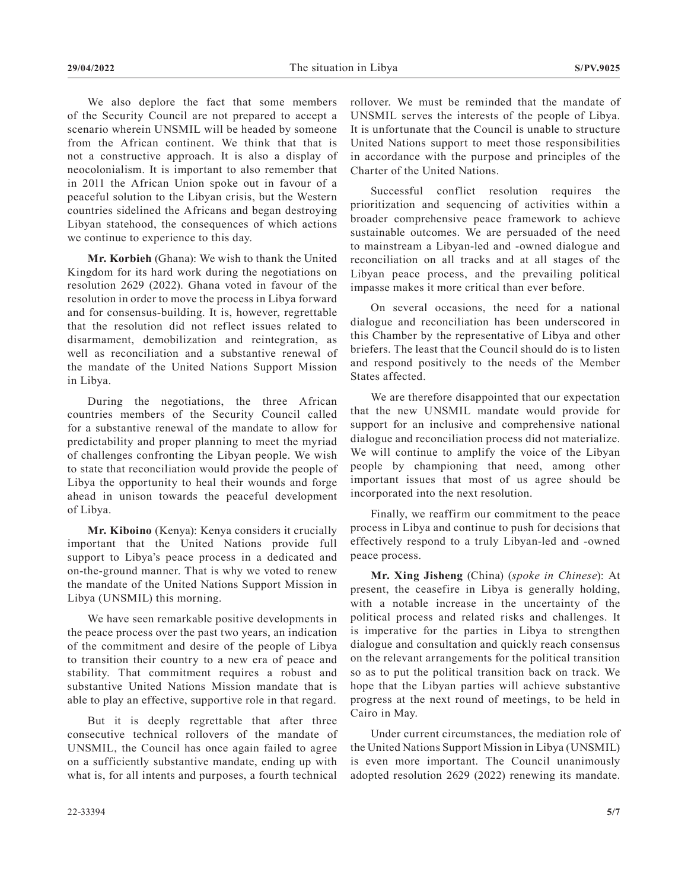We also deplore the fact that some members of the Security Council are not prepared to accept a scenario wherein UNSMIL will be headed by someone from the African continent. We think that that is not a constructive approach. It is also a display of neocolonialism. It is important to also remember that in 2011 the African Union spoke out in favour of a peaceful solution to the Libyan crisis, but the Western countries sidelined the Africans and began destroying Libyan statehood, the consequences of which actions we continue to experience to this day.

**Mr. Korbieh** (Ghana): We wish to thank the United Kingdom for its hard work during the negotiations on resolution 2629 (2022). Ghana voted in favour of the resolution in order to move the process in Libya forward and for consensus-building. It is, however, regrettable that the resolution did not reflect issues related to disarmament, demobilization and reintegration, as well as reconciliation and a substantive renewal of the mandate of the United Nations Support Mission in Libya.

During the negotiations, the three African countries members of the Security Council called for a substantive renewal of the mandate to allow for predictability and proper planning to meet the myriad of challenges confronting the Libyan people. We wish to state that reconciliation would provide the people of Libya the opportunity to heal their wounds and forge ahead in unison towards the peaceful development of Libya.

**Mr. Kiboino** (Kenya): Kenya considers it crucially important that the United Nations provide full support to Libya's peace process in a dedicated and on-the-ground manner. That is why we voted to renew the mandate of the United Nations Support Mission in Libya (UNSMIL) this morning.

We have seen remarkable positive developments in the peace process over the past two years, an indication of the commitment and desire of the people of Libya to transition their country to a new era of peace and stability. That commitment requires a robust and substantive United Nations Mission mandate that is able to play an effective, supportive role in that regard.

But it is deeply regrettable that after three consecutive technical rollovers of the mandate of UNSMIL, the Council has once again failed to agree on a sufficiently substantive mandate, ending up with what is, for all intents and purposes, a fourth technical

rollover. We must be reminded that the mandate of UNSMIL serves the interests of the people of Libya. It is unfortunate that the Council is unable to structure United Nations support to meet those responsibilities in accordance with the purpose and principles of the Charter of the United Nations.

Successful conflict resolution requires the prioritization and sequencing of activities within a broader comprehensive peace framework to achieve sustainable outcomes. We are persuaded of the need to mainstream a Libyan-led and -owned dialogue and reconciliation on all tracks and at all stages of the Libyan peace process, and the prevailing political impasse makes it more critical than ever before.

On several occasions, the need for a national dialogue and reconciliation has been underscored in this Chamber by the representative of Libya and other briefers. The least that the Council should do is to listen and respond positively to the needs of the Member States affected.

We are therefore disappointed that our expectation that the new UNSMIL mandate would provide for support for an inclusive and comprehensive national dialogue and reconciliation process did not materialize. We will continue to amplify the voice of the Libyan people by championing that need, among other important issues that most of us agree should be incorporated into the next resolution.

Finally, we reaffirm our commitment to the peace process in Libya and continue to push for decisions that effectively respond to a truly Libyan-led and -owned peace process.

**Mr. Xing Jisheng** (China) (*spoke in Chinese*): At present, the ceasefire in Libya is generally holding, with a notable increase in the uncertainty of the political process and related risks and challenges. It is imperative for the parties in Libya to strengthen dialogue and consultation and quickly reach consensus on the relevant arrangements for the political transition so as to put the political transition back on track. We hope that the Libyan parties will achieve substantive progress at the next round of meetings, to be held in Cairo in May.

Under current circumstances, the mediation role of the United Nations Support Mission in Libya (UNSMIL) is even more important. The Council unanimously adopted resolution 2629 (2022) renewing its mandate.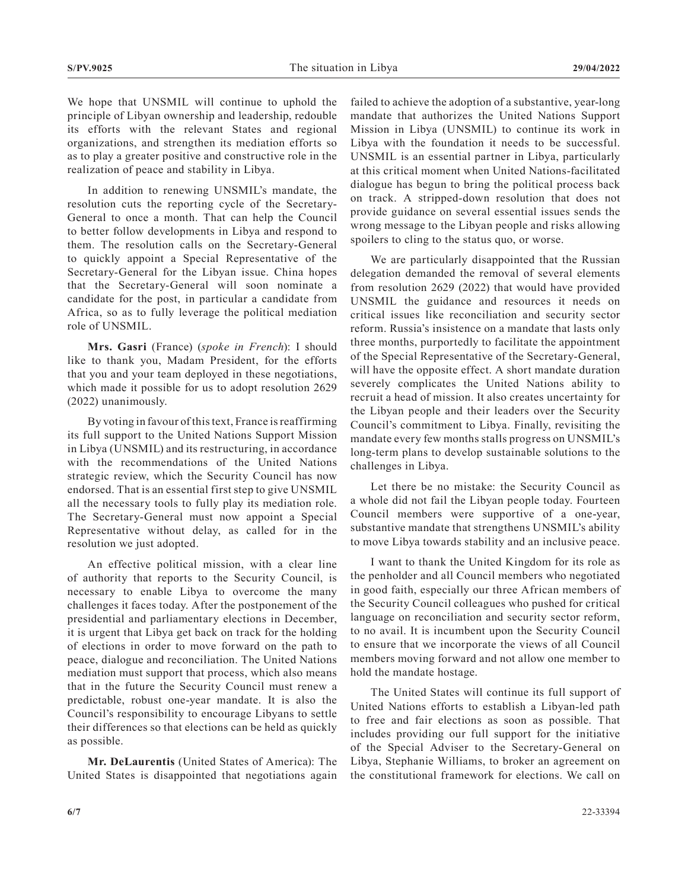We hope that UNSMIL will continue to uphold the principle of Libyan ownership and leadership, redouble its efforts with the relevant States and regional organizations, and strengthen its mediation efforts so as to play a greater positive and constructive role in the realization of peace and stability in Libya.

In addition to renewing UNSMIL's mandate, the resolution cuts the reporting cycle of the Secretary-General to once a month. That can help the Council to better follow developments in Libya and respond to them. The resolution calls on the Secretary-General to quickly appoint a Special Representative of the Secretary-General for the Libyan issue. China hopes that the Secretary-General will soon nominate a candidate for the post, in particular a candidate from Africa, so as to fully leverage the political mediation role of UNSMIL.

**Mrs. Gasri** (France) (*spoke in French*): I should like to thank you, Madam President, for the efforts that you and your team deployed in these negotiations, which made it possible for us to adopt resolution 2629 (2022) unanimously.

By voting in favour of this text, France is reaffirming its full support to the United Nations Support Mission in Libya (UNSMIL) and its restructuring, in accordance with the recommendations of the United Nations strategic review, which the Security Council has now endorsed. That is an essential first step to give UNSMIL all the necessary tools to fully play its mediation role. The Secretary-General must now appoint a Special Representative without delay, as called for in the resolution we just adopted.

An effective political mission, with a clear line of authority that reports to the Security Council, is necessary to enable Libya to overcome the many challenges it faces today. After the postponement of the presidential and parliamentary elections in December, it is urgent that Libya get back on track for the holding of elections in order to move forward on the path to peace, dialogue and reconciliation. The United Nations mediation must support that process, which also means that in the future the Security Council must renew a predictable, robust one-year mandate. It is also the Council's responsibility to encourage Libyans to settle their differences so that elections can be held as quickly as possible.

**Mr. DeLaurentis** (United States of America): The United States is disappointed that negotiations again

failed to achieve the adoption of a substantive, year-long mandate that authorizes the United Nations Support Mission in Libya (UNSMIL) to continue its work in Libya with the foundation it needs to be successful. UNSMIL is an essential partner in Libya, particularly at this critical moment when United Nations-facilitated dialogue has begun to bring the political process back on track. A stripped-down resolution that does not provide guidance on several essential issues sends the wrong message to the Libyan people and risks allowing spoilers to cling to the status quo, or worse.

We are particularly disappointed that the Russian delegation demanded the removal of several elements from resolution 2629 (2022) that would have provided UNSMIL the guidance and resources it needs on critical issues like reconciliation and security sector reform. Russia's insistence on a mandate that lasts only three months, purportedly to facilitate the appointment of the Special Representative of the Secretary-General, will have the opposite effect. A short mandate duration severely complicates the United Nations ability to recruit a head of mission. It also creates uncertainty for the Libyan people and their leaders over the Security Council's commitment to Libya. Finally, revisiting the mandate every few months stalls progress on UNSMIL's long-term plans to develop sustainable solutions to the challenges in Libya.

Let there be no mistake: the Security Council as a whole did not fail the Libyan people today. Fourteen Council members were supportive of a one-year, substantive mandate that strengthens UNSMIL's ability to move Libya towards stability and an inclusive peace.

I want to thank the United Kingdom for its role as the penholder and all Council members who negotiated in good faith, especially our three African members of the Security Council colleagues who pushed for critical language on reconciliation and security sector reform, to no avail. It is incumbent upon the Security Council to ensure that we incorporate the views of all Council members moving forward and not allow one member to hold the mandate hostage.

The United States will continue its full support of United Nations efforts to establish a Libyan-led path to free and fair elections as soon as possible. That includes providing our full support for the initiative of the Special Adviser to the Secretary-General on Libya, Stephanie Williams, to broker an agreement on the constitutional framework for elections. We call on